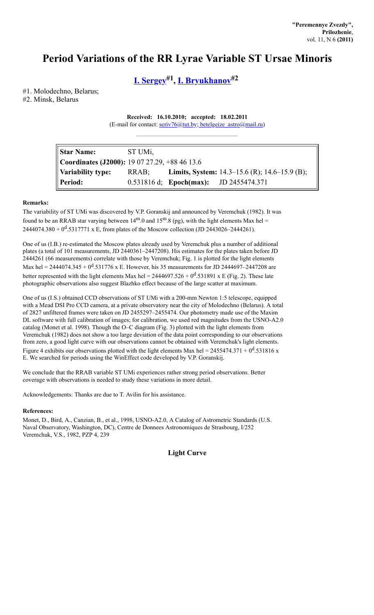## **Period Variations of the RR Lyrae Variable ST Ursae Minoris**

**I. [Sergey](http://www.astronet.ru/builder/preview/www.astronet.ru/db/varstars/author/12032) #1 , I. [Bryukhanov](http://www.astronet.ru/builder/preview/www.astronet.ru/db/varstars/author/15068) #2**

#1. Molodechno, Belarus; #2. Minsk, Belarus

> **Received: 16.10.2010; accepted: 18.02.2011** (E-mail for contact: seriv76@tut.by; [betelgeize\\_astro@mail.ru](mailto:seriv76@tut.by;%20betelgeize_astro@mail.ru))

| <b>Star Name:</b>                             | ST UMi, |                                               |                                                      |
|-----------------------------------------------|---------|-----------------------------------------------|------------------------------------------------------|
| Coordinates (J2000): 19 07 27.29, +88 46 13.6 |         |                                               |                                                      |
| Variability type:                             | RRAB;   |                                               | <b>Limits, System:</b> 14.3–15.6 (R); 14.6–15.9 (B); |
| Period:                                       |         | 0.531816 d; <b>Epoch(max):</b> JD 2455474.371 |                                                      |

## **Remarks:**

The variability of ST UMi was discovered by V.P. Goranskij and announced by Veremchuk (1982). It was found to be an RRAB star varying between  $14^{\text{m}}.0$  and  $15^{\text{m}}.8$  (pg), with the light elements Max hel = 2444074.380 +  $0^d$ .5317771 x E, from plates of the Moscow collection (JD 2443026–2444261).

One of us (I.B.) re-estimated the Moscow plates already used by Veremchuk plus a number of additional plates (a total of 101 measurements, JD 2440361–2447208). His estimates for the plates taken before JD 2444261 (66 measurements) correlate with those by Veremchuk; Fig. 1 is plotted for the light elements Max hel = 2444074.345 +  $0^d$ .531776 x E. However, his 35 measurements for JD 2444697–2447208 are better represented with the light elements Max hel =  $2444697.526 + 0^{\text{d}}.531891 \text{ x} \cdot E$  (Fig. 2). These late photographic observations also suggest Blazhko effect because of the large scatter at maximum.

One of us (I.S.) obtained CCD observations of ST UMi with a 200-mm Newton 1:5 telescope, equipped with a Mead DSI Pro CCD camera, at a private observatory near the city of Molodechno (Belarus). A total of 2827 unfiltered frames were taken on JD 2455297–2455474. Our photometry made use of the Maxim DL software with full calibration of images; for calibration, we used red magnitudes from the USNO-A2.0 catalog (Monet et al. 1998). Though the O–C diagram (Fig. 3) plotted with the light elements from Veremchuk (1982) does not show a too large deviation of the data point corresponding to our observations from zero, a good light curve with our observations cannot be obtained with Veremchuk's light elements. Figure 4 exhibits our observations plotted with the light elements Max hel =  $2455474.371 + 0^{\circ}$ . 531816 x E. We searched for periods using the WinEffect code developed by V.P. Goranskij.

We conclude that the RRAB variable ST UMi experiences rather strong period observations. Better coverage with observations is needed to study these variations in more detail.

Acknowledgements: Thanks are due to T. Avilin for his assistance.

## **References:**

Monet, D., Bird, A., Canzian, B., et al., 1998, USNO-A2.0, A Catalog of Astrometric Standards (U.S. Naval Observatory, Washington, DC), Centre de Donnees Astronomiques de Strasbourg, I/252 Veremchuk, V.S., 1982, PZP 4, 239

## **Light Curve**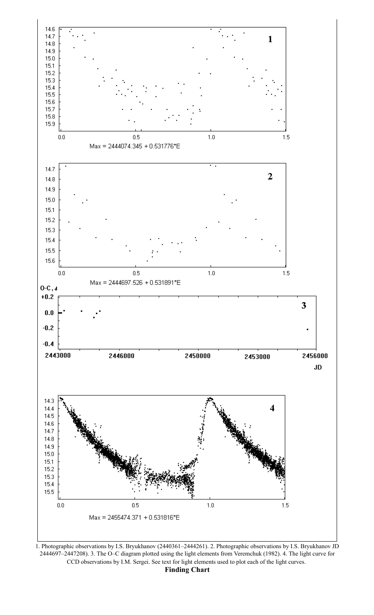

1. Photographic observations by I.S. Bryukhanov (2440361–2444261). 2. Photographic observations by I.S. Bryukhanov JD 2444697–2447208). 3. The O–C diagram plotted using the light elements from Veremchuk (1982). 4. The light curve for CCD observations by I.M. Sergei. See text for light elements used to plot each of the light curves. **Finding Chart**